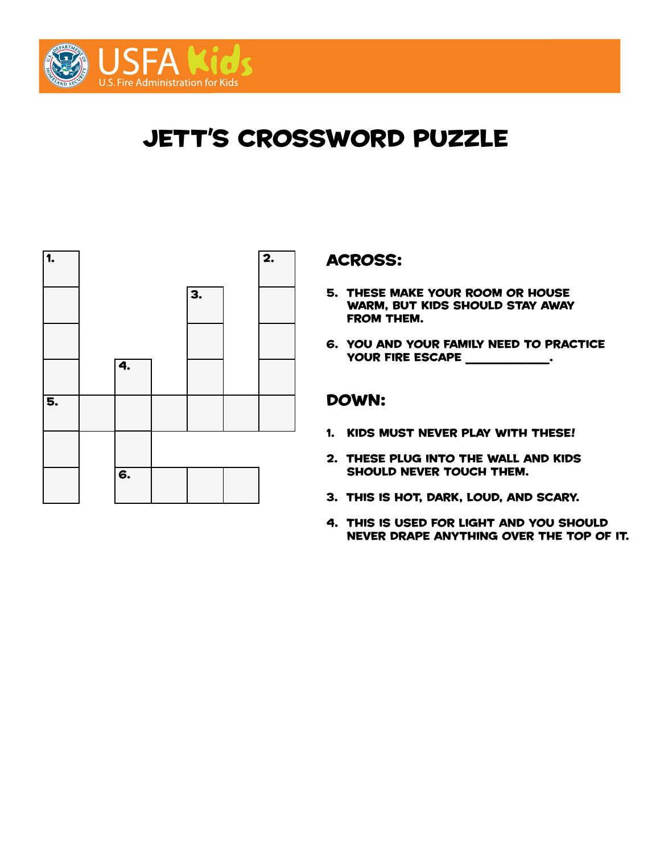

# **JETT'S CROSSWORD PUZZLE**



#### across:

- 5. These make your room or house warm, but kids should stay away from them.
- 6. you and your family need to practice YOUR FIRE ESCAPE \_\_\_\_\_\_\_\_\_\_\_.

- 1. kids must never play with these!
- 2. These plug into the wall and kids should never touch them.
- 3. this is hot, dark, loud, and scary.
- 4. this is used for light and you should never drape anything over the top of it.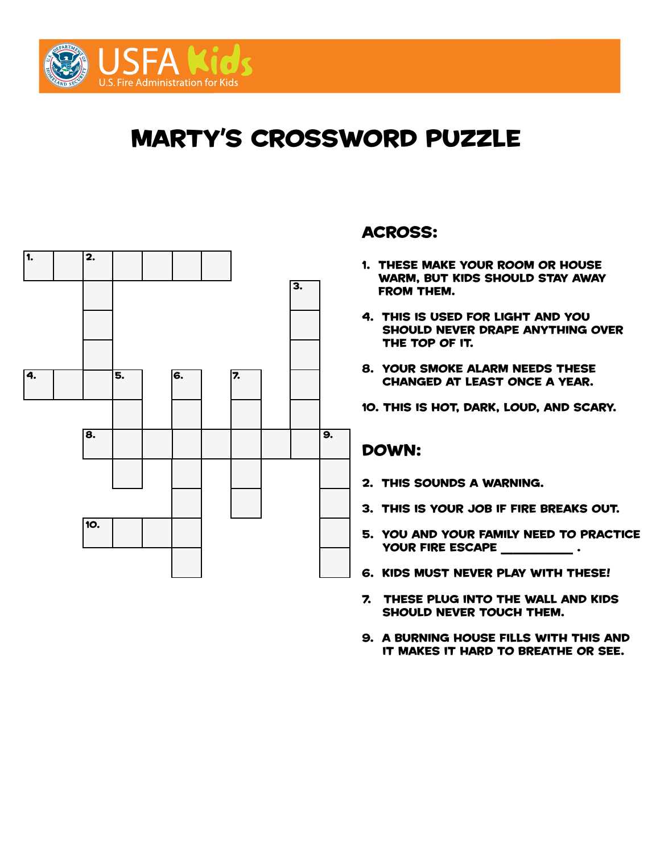

# marty's crossword puzzle



## across:

- 1. these make your room or house warm, but kids should stay away from them.
- 4. this is used for light and you should never drape anything over the top of it.
- 8. your smoke alarm needs these changed at least once a year.
- 10. this is hot, dark, loud, and scary.

- 2. this sounds a warning.
- 3. this is your job if fire breaks out.
- 5. you and your family need to practice YOUR FIRE ESCAPE \_\_\_\_\_\_\_\_\_\_\_\_.
- 6. kids must never play with these!
- 7. these plug into the wall and kids should never touch them.
- 9. a burning house fills with this and it makes it hard to breathe or see.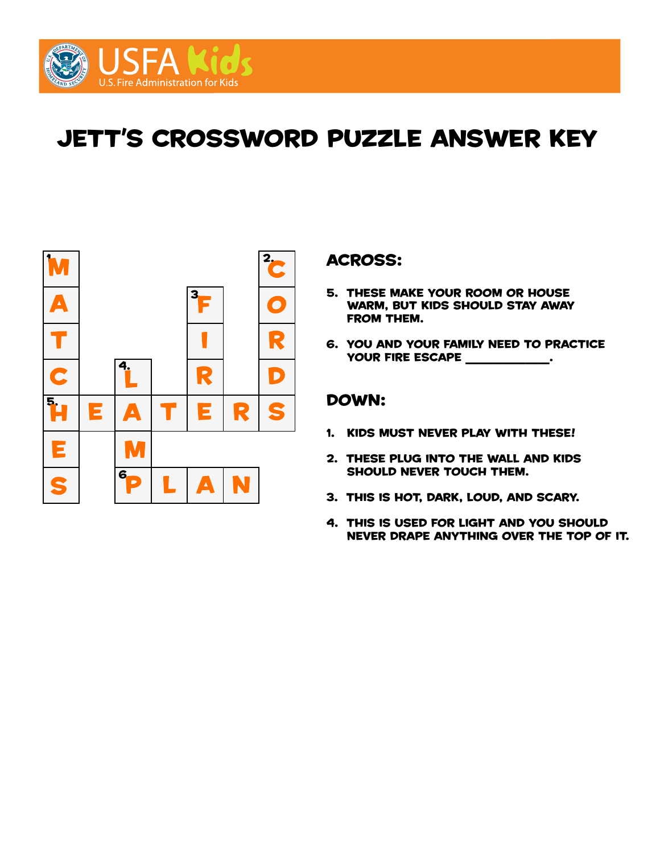

# jett's crossword puzzle ANSWER KEY



### across:

- 5. These make your room or house warm, but kids should stay away from them.
- 6. you and your family need to practice YOUR FIRE ESCAPE \_\_\_\_\_\_\_\_\_\_\_.

- 1. kids must never play with these!
- 2. These plug into the wall and kids should never touch them.
- 3. this is hot, dark, loud, and scary.
- 4. this is used for light and you should never drape anything over the top of it.